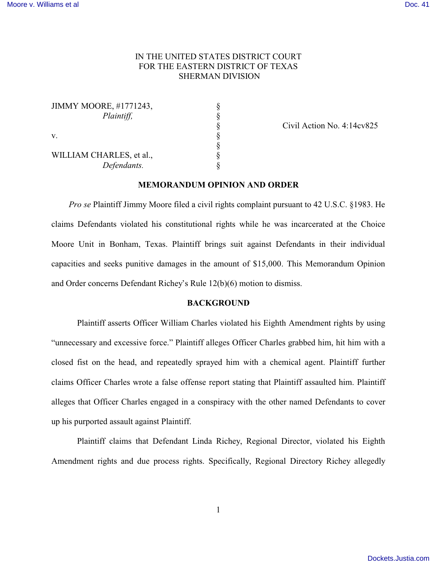## IN THE UNITED STATES DISTRICT COURT FOR THE EASTERN DISTRICT OF TEXAS SHERMAN DIVISION

| <b>JIMMY MOORE, #1771243,</b> |  |
|-------------------------------|--|
| Plaintiff,                    |  |
|                               |  |
| v                             |  |

WILLIAM CHARLES, et al., Defendants.

§ Civil Action No. 4:14cv825

## **MEMORANDUM OPINION AND ORDER**

§<br>§<br>§<br>§<br>§

 *Pro se* Plaintiff Jimmy Moore filed a civil rights complaint pursuant to 42 U.S.C. §1983. He claims Defendants violated his constitutional rights while he was incarcerated at the Choice Moore Unit in Bonham, Texas. Plaintiff brings suit against Defendants in their individual capacities and seeks punitive damages in the amount of \$15,000. This Memorandum Opinion and Order concerns Defendant Richey's Rule 12(b)(6) motion to dismiss.

## **BACKGROUND**

Plaintiff asserts Officer William Charles violated his Eighth Amendment rights by using "unnecessary and excessive force." Plaintiff alleges Officer Charles grabbed him, hit him with a closed fist on the head, and repeatedly sprayed him with a chemical agent. Plaintiff further claims Officer Charles wrote a false offense report stating that Plaintiff assaulted him. Plaintiff alleges that Officer Charles engaged in a conspiracy with the other named Defendants to cover up his purported assault against Plaintiff.

Plaintiff claims that Defendant Linda Richey, Regional Director, violated his Eighth Amendment rights and due process rights. Specifically, Regional Directory Richey allegedly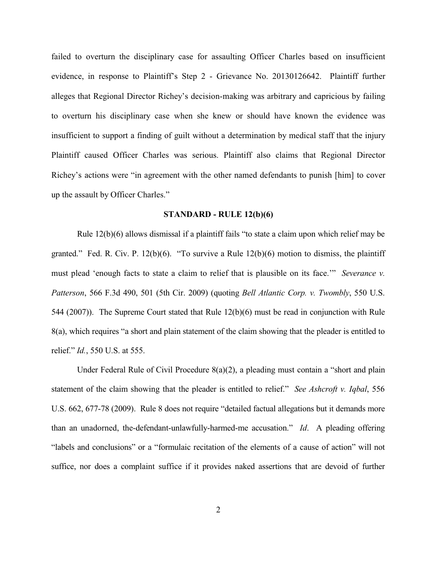failed to overturn the disciplinary case for assaulting Officer Charles based on insufficient evidence, in response to Plaintiff's Step 2 - Grievance No. 20130126642. Plaintiff further alleges that Regional Director Richey's decision-making was arbitrary and capricious by failing to overturn his disciplinary case when she knew or should have known the evidence was insufficient to support a finding of guilt without a determination by medical staff that the injury Plaintiff caused Officer Charles was serious. Plaintiff also claims that Regional Director Richey's actions were "in agreement with the other named defendants to punish [him] to cover up the assault by Officer Charles."

#### **STANDARD - RULE 12(b)(6)**

Rule 12(b)(6) allows dismissal if a plaintiff fails "to state a claim upon which relief may be granted." Fed. R. Civ. P. 12(b)(6). "To survive a Rule 12(b)(6) motion to dismiss, the plaintiff must plead 'enough facts to state a claim to relief that is plausible on its face.'" *Severance v. Patterson*, 566 F.3d 490, 501 (5th Cir. 2009) (quoting *Bell Atlantic Corp. v. Twombly*, 550 U.S. 544 (2007)). The Supreme Court stated that Rule 12(b)(6) must be read in conjunction with Rule 8(a), which requires "a short and plain statement of the claim showing that the pleader is entitled to relief." *Id.*, 550 U.S. at 555.

Under Federal Rule of Civil Procedure 8(a)(2), a pleading must contain a "short and plain statement of the claim showing that the pleader is entitled to relief." *See Ashcroft v. Iqbal*, 556 U.S. 662, 677-78 (2009). Rule 8 does not require "detailed factual allegations but it demands more than an unadorned, the-defendant-unlawfully-harmed-me accusation." *Id*. A pleading offering "labels and conclusions" or a "formulaic recitation of the elements of a cause of action" will not suffice, nor does a complaint suffice if it provides naked assertions that are devoid of further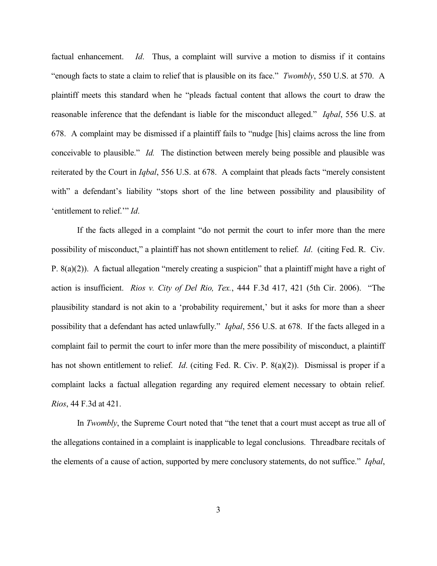factual enhancement. *Id*. Thus, a complaint will survive a motion to dismiss if it contains "enough facts to state a claim to relief that is plausible on its face." *Twombly*, 550 U.S. at 570. A plaintiff meets this standard when he "pleads factual content that allows the court to draw the reasonable inference that the defendant is liable for the misconduct alleged." *Iqbal*, 556 U.S. at 678. A complaint may be dismissed if a plaintiff fails to "nudge [his] claims across the line from conceivable to plausible." *Id.* The distinction between merely being possible and plausible was reiterated by the Court in *Iqbal*, 556 U.S. at 678. A complaint that pleads facts "merely consistent with" a defendant's liability "stops short of the line between possibility and plausibility of 'entitlement to relief.'" *Id*.

If the facts alleged in a complaint "do not permit the court to infer more than the mere possibility of misconduct," a plaintiff has not shown entitlement to relief. *Id*. (citing Fed. R. Civ. P.  $8(a)(2)$ ). A factual allegation "merely creating a suspicion" that a plaintiff might have a right of action is insufficient. *Rios v. City of Del Rio, Tex.*, 444 F.3d 417, 421 (5th Cir. 2006). "The plausibility standard is not akin to a 'probability requirement,' but it asks for more than a sheer possibility that a defendant has acted unlawfully." *Iqbal*, 556 U.S. at 678. If the facts alleged in a complaint fail to permit the court to infer more than the mere possibility of misconduct, a plaintiff has not shown entitlement to relief. *Id*. (citing Fed. R. Civ. P. 8(a)(2)). Dismissal is proper if a complaint lacks a factual allegation regarding any required element necessary to obtain relief. *Rios*, 44 F.3d at 421.

In *Twombly*, the Supreme Court noted that "the tenet that a court must accept as true all of the allegations contained in a complaint is inapplicable to legal conclusions. Threadbare recitals of the elements of a cause of action, supported by mere conclusory statements, do not suffice." *Iqbal*,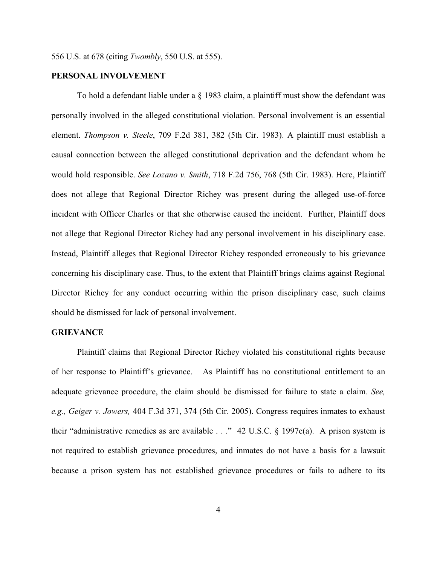### **PERSONAL INVOLVEMENT**

To hold a defendant liable under a § 1983 claim, a plaintiff must show the defendant was personally involved in the alleged constitutional violation. Personal involvement is an essential element. *Thompson v. Steele*, 709 F.2d 381, 382 (5th Cir. 1983). A plaintiff must establish a causal connection between the alleged constitutional deprivation and the defendant whom he would hold responsible. *See Lozano v. Smith*, 718 F.2d 756, 768 (5th Cir. 1983). Here, Plaintiff does not allege that Regional Director Richey was present during the alleged use-of-force incident with Officer Charles or that she otherwise caused the incident. Further, Plaintiff does not allege that Regional Director Richey had any personal involvement in his disciplinary case. Instead, Plaintiff alleges that Regional Director Richey responded erroneously to his grievance concerning his disciplinary case. Thus, to the extent that Plaintiff brings claims against Regional Director Richey for any conduct occurring within the prison disciplinary case, such claims should be dismissed for lack of personal involvement.

### **GRIEVANCE**

Plaintiff claims that Regional Director Richey violated his constitutional rights because of her response to Plaintiff's grievance. As Plaintiff has no constitutional entitlement to an adequate grievance procedure, the claim should be dismissed for failure to state a claim. *See, e.g., Geiger v. Jowers,* 404 F.3d 371, 374 (5th Cir. 2005). Congress requires inmates to exhaust their "administrative remedies as are available  $\ldots$ " 42 U.S.C. § 1997e(a). A prison system is not required to establish grievance procedures, and inmates do not have a basis for a lawsuit because a prison system has not established grievance procedures or fails to adhere to its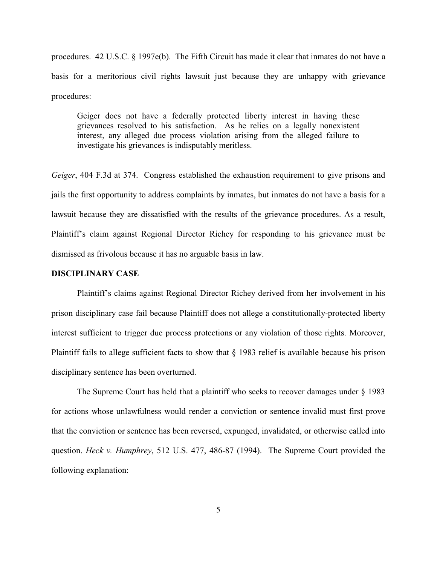procedures. 42 U.S.C. § 1997e(b). The Fifth Circuit has made it clear that inmates do not have a basis for a meritorious civil rights lawsuit just because they are unhappy with grievance procedures:

Geiger does not have a federally protected liberty interest in having these grievances resolved to his satisfaction. As he relies on a legally nonexistent interest, any alleged due process violation arising from the alleged failure to investigate his grievances is indisputably meritless.

*Geiger*, 404 F.3d at 374. Congress established the exhaustion requirement to give prisons and jails the first opportunity to address complaints by inmates, but inmates do not have a basis for a lawsuit because they are dissatisfied with the results of the grievance procedures. As a result, Plaintiff's claim against Regional Director Richey for responding to his grievance must be dismissed as frivolous because it has no arguable basis in law.

#### **DISCIPLINARY CASE**

Plaintiff's claims against Regional Director Richey derived from her involvement in his prison disciplinary case fail because Plaintiff does not allege a constitutionally-protected liberty interest sufficient to trigger due process protections or any violation of those rights. Moreover, Plaintiff fails to allege sufficient facts to show that § 1983 relief is available because his prison disciplinary sentence has been overturned.

The Supreme Court has held that a plaintiff who seeks to recover damages under  $\S$  1983 for actions whose unlawfulness would render a conviction or sentence invalid must first prove that the conviction or sentence has been reversed, expunged, invalidated, or otherwise called into question. *Heck v. Humphrey*, 512 U.S. 477, 486-87 (1994). The Supreme Court provided the following explanation: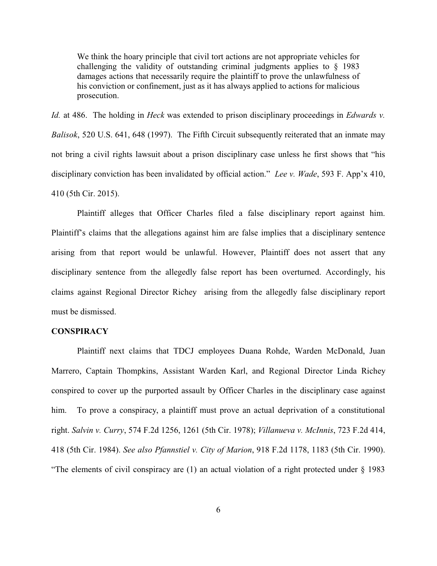We think the hoary principle that civil tort actions are not appropriate vehicles for challenging the validity of outstanding criminal judgments applies to § 1983 damages actions that necessarily require the plaintiff to prove the unlawfulness of his conviction or confinement, just as it has always applied to actions for malicious prosecution.

*Id.* at 486. The holding in *Heck* was extended to prison disciplinary proceedings in *Edwards v. Balisok*, 520 U.S. 641, 648 (1997). The Fifth Circuit subsequently reiterated that an inmate may not bring a civil rights lawsuit about a prison disciplinary case unless he first shows that "his disciplinary conviction has been invalidated by official action." *Lee v. Wade*, 593 F. App'x 410, 410 (5th Cir. 2015).

Plaintiff alleges that Officer Charles filed a false disciplinary report against him. Plaintiff's claims that the allegations against him are false implies that a disciplinary sentence arising from that report would be unlawful. However, Plaintiff does not assert that any disciplinary sentence from the allegedly false report has been overturned. Accordingly, his claims against Regional Director Richey arising from the allegedly false disciplinary report must be dismissed.

# **CONSPIRACY**

Plaintiff next claims that TDCJ employees Duana Rohde, Warden McDonald, Juan Marrero, Captain Thompkins, Assistant Warden Karl, and Regional Director Linda Richey conspired to cover up the purported assault by Officer Charles in the disciplinary case against him. To prove a conspiracy, a plaintiff must prove an actual deprivation of a constitutional right. *Salvin v. Curry*, 574 F.2d 1256, 1261 (5th Cir. 1978); *Villanueva v. McInnis*, 723 F.2d 414, 418 (5th Cir. 1984). *See also Pfannstiel v. City of Marion*, 918 F.2d 1178, 1183 (5th Cir. 1990). "The elements of civil conspiracy are (1) an actual violation of a right protected under § 1983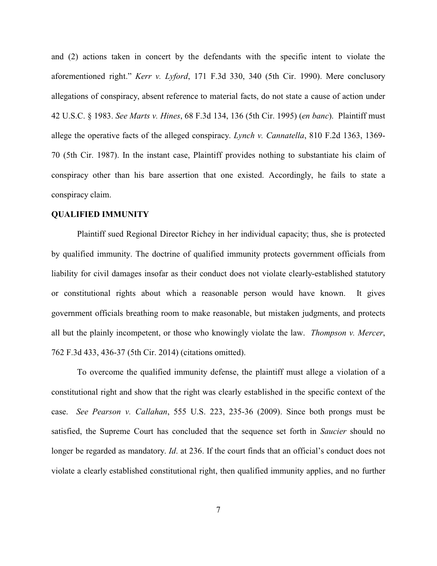and (2) actions taken in concert by the defendants with the specific intent to violate the aforementioned right." *Kerr v. Lyford*, 171 F.3d 330, 340 (5th Cir. 1990). Mere conclusory allegations of conspiracy, absent reference to material facts, do not state a cause of action under 42 U.S.C. § 1983. *See Marts v. Hines*, 68 F.3d 134, 136 (5th Cir. 1995) (*en banc*). Plaintiff must allege the operative facts of the alleged conspiracy. *Lynch v. Cannatella*, 810 F.2d 1363, 1369- 70 (5th Cir. 1987). In the instant case, Plaintiff provides nothing to substantiate his claim of conspiracy other than his bare assertion that one existed. Accordingly, he fails to state a conspiracy claim.

### **QUALIFIED IMMUNITY**

Plaintiff sued Regional Director Richey in her individual capacity; thus, she is protected by qualified immunity. The doctrine of qualified immunity protects government officials from liability for civil damages insofar as their conduct does not violate clearly-established statutory or constitutional rights about which a reasonable person would have known. It gives government officials breathing room to make reasonable, but mistaken judgments, and protects all but the plainly incompetent, or those who knowingly violate the law. *Thompson v. Mercer*, 762 F.3d 433, 436-37 (5th Cir. 2014) (citations omitted).

To overcome the qualified immunity defense, the plaintiff must allege a violation of a constitutional right and show that the right was clearly established in the specific context of the case. *See Pearson v. Callahan*, 555 U.S. 223, 235-36 (2009). Since both prongs must be satisfied, the Supreme Court has concluded that the sequence set forth in *Saucier* should no longer be regarded as mandatory. *Id*. at 236. If the court finds that an official's conduct does not violate a clearly established constitutional right, then qualified immunity applies, and no further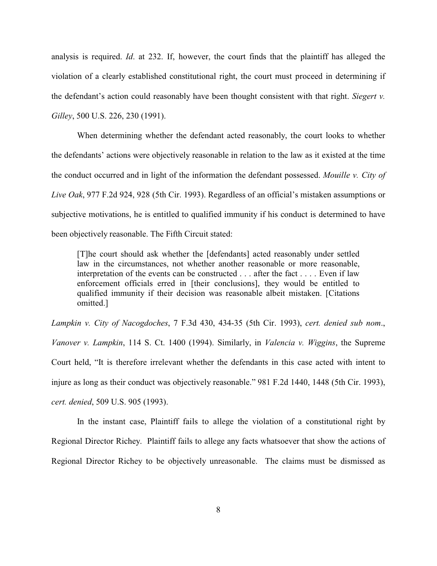analysis is required. *Id*. at 232. If, however, the court finds that the plaintiff has alleged the violation of a clearly established constitutional right, the court must proceed in determining if the defendant's action could reasonably have been thought consistent with that right. *Siegert v. Gilley*, 500 U.S. 226, 230 (1991).

When determining whether the defendant acted reasonably, the court looks to whether the defendants' actions were objectively reasonable in relation to the law as it existed at the time the conduct occurred and in light of the information the defendant possessed. *Mouille v. City of Live Oak*, 977 F.2d 924, 928 (5th Cir. 1993). Regardless of an official's mistaken assumptions or subjective motivations, he is entitled to qualified immunity if his conduct is determined to have been objectively reasonable. The Fifth Circuit stated:

[T]he court should ask whether the [defendants] acted reasonably under settled law in the circumstances, not whether another reasonable or more reasonable, interpretation of the events can be constructed . . . after the fact . . . . Even if law enforcement officials erred in [their conclusions], they would be entitled to qualified immunity if their decision was reasonable albeit mistaken. [Citations omitted.]

*Lampkin v. City of Nacogdoches*, 7 F.3d 430, 434-35 (5th Cir. 1993), *cert. denied sub nom*., *Vanover v. Lampkin*, 114 S. Ct. 1400 (1994). Similarly, in *Valencia v. Wiggins*, the Supreme Court held, "It is therefore irrelevant whether the defendants in this case acted with intent to injure as long as their conduct was objectively reasonable." 981 F.2d 1440, 1448 (5th Cir. 1993), *cert. denied*, 509 U.S. 905 (1993).

In the instant case, Plaintiff fails to allege the violation of a constitutional right by Regional Director Richey. Plaintiff fails to allege any facts whatsoever that show the actions of Regional Director Richey to be objectively unreasonable. The claims must be dismissed as